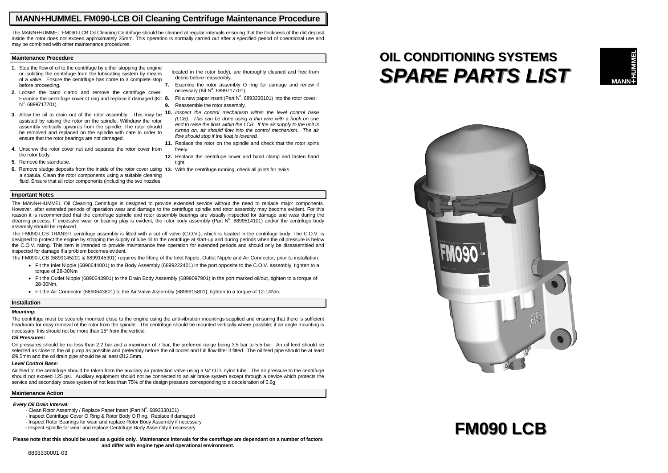





## **MANN+HUMMEL FM090-LCB Oil Cleaning Centrifuge Maintenance Procedure**

The MANN+HUMMEL FM090-LCB Oil Cleaning Centrifuge should be cleaned at regular intervals ensuring that the thickness of the dirt deposit inside the rotor does not exceed approximately 25mm. This operation is normally carried out after a specified period of operational use and may be combined with other maintenance procedures.

#### **Maintenance Procedure**

#### **Important Notes**

The MANN+HUMMEL Oil Cleaning Centrifuge is designed to provide extended service without the need to replace major components. However, after extended periods of operation wear and damage to the centrifuge spindle and rotor assembly may become evident. For this reason it is recommended that the centrifuge spindle and rotor assembly bearings are visually inspected for damage and wear during the cleaning process. If excessive wear or bearing play is evident, the rotor body assembly (Part N°. 6899514101) and/or the centrifuge body assembly should be replaced.

The FM090-LCB TRANSIT centrifuge assembly is fitted with a cut off valve (C.O.V.), which is located in the centrifuge body. The C.O.V. is designed to protect the engine by stopping the supply of lube oil to the centrifuge at start-up and during periods when the oil pressure is below the C.O.V. rating. This item is intended to provide maintenance free operation for extended periods and should only be disassembled and inspected for damage if a problem becomes evident.

The FM090-LCB (6899145201 & 6899145301) requires the fitting of the Inlet Nipple, Outlet Nipple and Air Connector, prior to installation.

Air feed to the centrifuge should be taken from the auxiliary air protection valve using a  $\frac{1}{4}$ " O.D. nylon tube. The air pressure to the centrifuge should not exceed 125 psi. Auxiliary equipment should not be connected to an air brake system except through a device which protects the service and secondary brake system of not less than 75% of the design pressure corresponding to a deceleration of 0.6g

- debris before reassembly. **7.** Examine the rotor assembly O ring for damage and renew if necessary (Kit  $N^{\circ}$ . 6899717701).
- Examine the centrifuge cover O ring and replace if damaged (Kit 8. Fit a new paper insert (Part N°. 6893330101) into the rotor cover.

- Fit the Inlet Nipple (6890644001) to the Body Assembly (6899222401) in the port opposite to the C.O.V. assembly, tighten to a torque of 28-30Nm
- Fit the Outlet Nipple (6890643901) to the Drain Body Assembly (6899097901) in the port marked oil/out, tighten to a torque of 28-30Nm.
- Fit the Air Connector (6890643801) to the Air Valve Assembly (6899915801), tighten to a torque of 12-14Nm.

#### **Installation**

#### *Mounting:*

The centrifuge must be securely mounted close to the engine using the anti-vibration mountings supplied and ensuring that there is sufficient headroom for easy removal of the rotor from the spindle. The centrifuge should be mounted vertically where possible; if an angle mounting is necessary, this should not be more than 15° from the vertical.

#### *Oil Pressures:*

Oil pressures should be no less than 2.2 bar and a maximum of 7 bar, the preferred range being 3.5 bar to 5.5 bar. An oil feed should be selected as close to the oil pump as possible and preferably before the oil cooler and full flow filter if fitted. The oil feed pipe should be at least Ø9.5mm and the oil drain pipe should be at least Ø12.5mm.

#### *Level Control Base:*

- Clean Rotor Assembly / Replace Paper Insert (Part  $N^{\circ}$ . 6893330101)
- Inspect Centrifuge Cover O Ring & Rotor Body O Ring. Replace if damaged
- Inspect Rotor Bearings for wear and replace Rotor Body Assembly if necessary<br>- Inspect Spindle for wear and replace Centrifuge Body Assembly if necessary
- Inspect Spindle for wear and replace Centrifuge Body Assembly if necessary **FM090 LCB FM090 LCB**

### **Maintenance Action**

**Please note that this should be used as a guide only. Maintenance intervals for the centrifuge are dependant on a number of factors and differ with engine type and operational environment.** 

located in the rotor body), are thoroughly cleaned and free from

- **9.** Reassemble the rotor assembly.
- **10.** *Inspect the control mechanism within the level control base (LCB). This can be done using a thin wire with a hook on one end to raise the float within the LCB. If the air supply to the unit is turned on, air should flow into the control mechanism. The air flow should stop if the float is lowered.*
- **11.** Replace the rotor on the spindle and check that the rotor spins freely.
- **12.** Replace the centrifuge cover and band clamp and fasten hand tight.
- **1.** Stop the flow of oil to the centrifuge by either stopping the engine or isolating the centrifuge from the lubricating system by means of a valve. Ensure the centrifuge has come to a complete stop before proceeding.
- **2.** Loosen the band clamp and remove the centrifuge cover. N°, 6899717701).
- **3.** Allow the oil to drain out of the rotor assembly. This may be assisted by raising the rotor on the spindle. Withdraw the rotor assembly vertically upwards from the spindle. The rotor should be removed and replaced on the spindle with care in order to ensure that the rotor bearings are not damaged.
- **4.** Unscrew the rotor cover nut and separate the rotor cover from the rotor body.

- **5.** Remove the standtube.
- **6.** Remove sludge deposits from the inside of the rotor cover using 13. With the centrifuge running, check all joints for leaks. a spatula. Clean the rotor components using a suitable cleaning fluid. Ensure that all rotor components (including the two nozzles

#### *Every Oil Drain Interval:*

# **OIL CONDITIONING SYSTEMS OIL CONDITIONING SYSTEMS***SPARE PARTS LIST SPARE PARTS LIST*